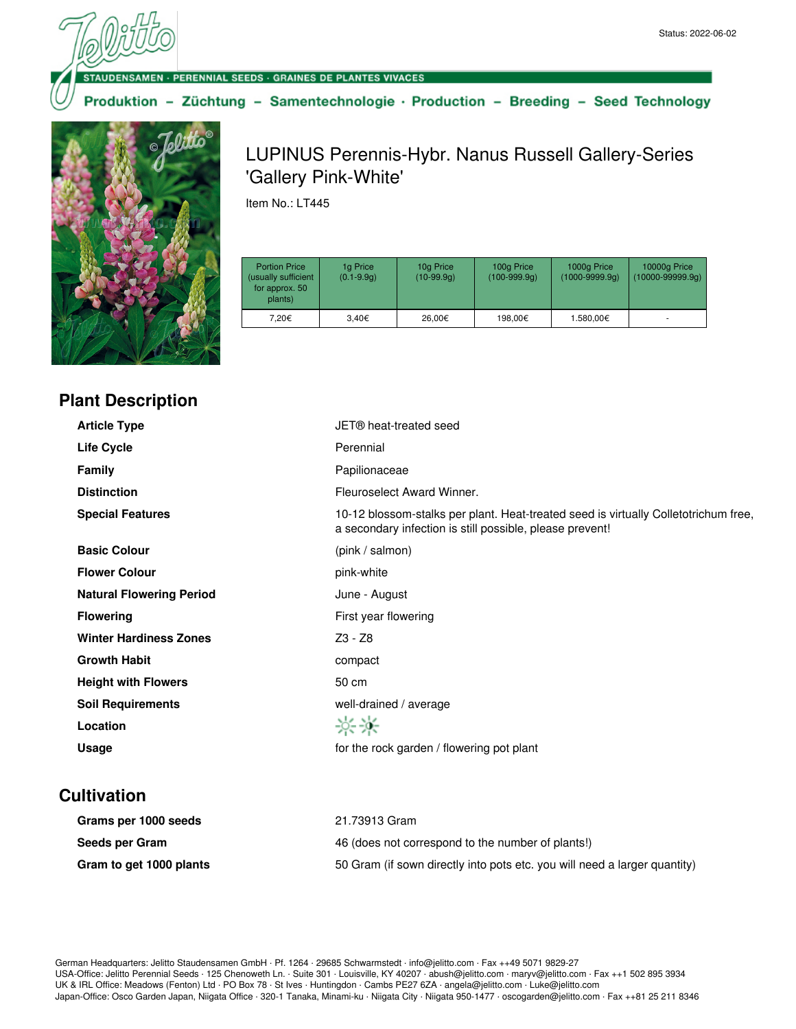· PERENNIAL SEEDS · GRAINES DE PLANTES VIVACES

Produktion - Züchtung - Samentechnologie · Production - Breeding - Seed Technology



## LUPINUS Perennis-Hybr. Nanus Russell Gallery-Series 'Gallery Pink-White'

Item No.: LT445

| <b>Portion Price</b><br>(usually sufficient<br>for approx. 50<br>plants) | 1g Price<br>$(0.1 - 9.9q)$ | 10g Price<br>$(10-99.9q)$ | 100g Price<br>$(100-999.9q)$ | 1000g Price<br>$(1000 - 9999.9q)$ | 10000g Price<br>$(10000 - 99999.9q)$ |
|--------------------------------------------------------------------------|----------------------------|---------------------------|------------------------------|-----------------------------------|--------------------------------------|
| 7.20€                                                                    | 3.40€                      | 26,00€                    | 198.00€                      | 1.580,00€                         | ۰                                    |

## **Plant Description**

| <b>Article Type</b>             | JET® heat-treated seed                                                                                                                          |
|---------------------------------|-------------------------------------------------------------------------------------------------------------------------------------------------|
| Life Cycle                      | Perennial                                                                                                                                       |
| <b>Family</b>                   | Papilionaceae                                                                                                                                   |
| <b>Distinction</b>              | Fleuroselect Award Winner.                                                                                                                      |
| <b>Special Features</b>         | 10-12 blossom-stalks per plant. Heat-treated seed is virtually Colletotrichum free,<br>a secondary infection is still possible, please prevent! |
| <b>Basic Colour</b>             | (pink / salmon)                                                                                                                                 |
| <b>Flower Colour</b>            | pink-white                                                                                                                                      |
| <b>Natural Flowering Period</b> | June - August                                                                                                                                   |
| <b>Flowering</b>                | First year flowering                                                                                                                            |
| <b>Winter Hardiness Zones</b>   | Z3 - Z8                                                                                                                                         |
| <b>Growth Habit</b>             | compact                                                                                                                                         |
| <b>Height with Flowers</b>      | 50 cm                                                                                                                                           |
| <b>Soil Requirements</b>        | well-drained / average                                                                                                                          |
| Location                        | 兴米                                                                                                                                              |
| Usage                           | for the rock garden / flowering pot plant                                                                                                       |

## **Cultivation**

| Grams per 1000 seeds    | 21.73913 Gram                                                             |
|-------------------------|---------------------------------------------------------------------------|
| Seeds per Gram          | 46 (does not correspond to the number of plants!)                         |
| Gram to get 1000 plants | 50 Gram (if sown directly into pots etc. you will need a larger quantity) |